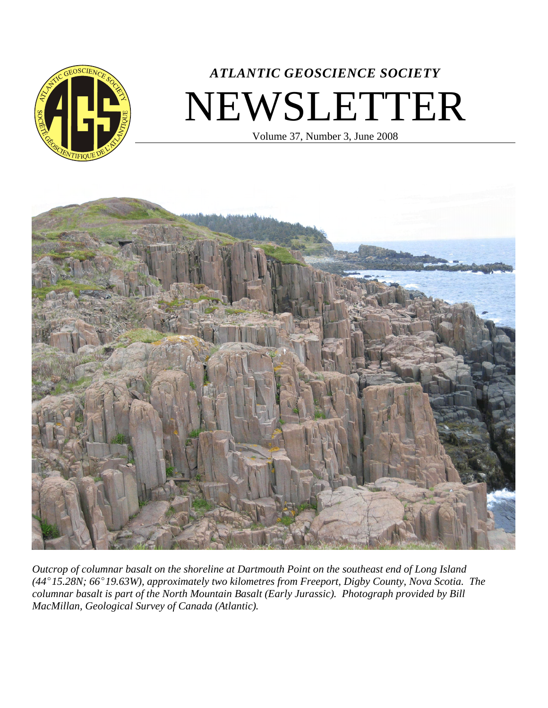

# *ATLANTIC GEOSCIENCE SOCIETY* NEWSLETTER

Volume 37, Number 3, June 2008



*Outcrop of columnar basalt on the shoreline at Dartmouth Point on the southeast end of Long Island (44E15.28N; 66E19.63W), approximately two kilometres from Freeport, Digby County, Nova Scotia. The columnar basalt is part of the North Mountain Basalt (Early Jurassic). Photograph provided by Bill MacMillan, Geological Survey of Canada (Atlantic).*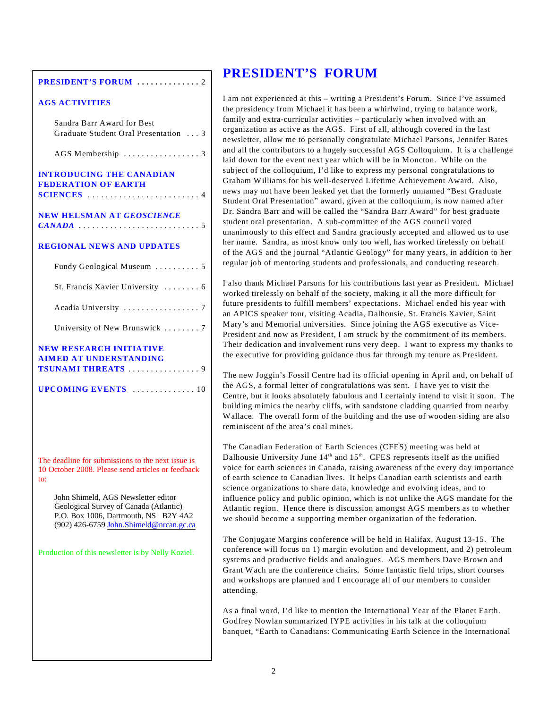#### **PRESIDENT'S FORUM ..............** 2

#### **AGS ACTIVITIES**

| Sandra Barr Award for Best<br>Graduate Student Oral Presentation  3                                                                                              |
|------------------------------------------------------------------------------------------------------------------------------------------------------------------|
|                                                                                                                                                                  |
| <b>INTRODUCING THE CANADIAN</b><br><b>FEDERATION OF EARTH</b><br>SCIENCES $\ldots \ldots \ldots \ldots \ldots \ldots \ldots \ldots$                              |
| <b>NEW HELSMAN AT GEOSCIENCE</b>                                                                                                                                 |
| <b>REGIONAL NEWS AND UPDATES</b>                                                                                                                                 |
| Fundy Geological Museum  5                                                                                                                                       |
| St. Francis Xavier University  6                                                                                                                                 |
|                                                                                                                                                                  |
| University of New Brunswick  7                                                                                                                                   |
| <b>NEW RESEARCH INITIATIVE</b><br><b>AIMED AT UNDERSTANDING</b>                                                                                                  |
| <b>UPCOMING EVENTS</b> 10                                                                                                                                        |
| The deadline for submissions to the next issue is<br>10 October 2008. Please send articles or feedback                                                           |
| to:                                                                                                                                                              |
| John Shimeld, AGS Newsletter editor<br>Geological Survey of Canada (Atlantic)<br>P.O. Box 1006, Dartmouth, NS B2Y 4A2<br>(902) 426-6759 John.Shimeld@nrcan.gc.ca |
| Production of this newsletter is by Nelly Koziel.                                                                                                                |

## **PRESIDENT'S FORUM**

I am not experienced at this – writing a President's Forum. Since I've assumed the presidency from Michael it has been a whirlwind, trying to balance work, family and extra-curricular activities – particularly when involved with an organization as active as the AGS. First of all, although covered in the last newsletter, allow me to personally congratulate Michael Parsons, Jennifer Bates and all the contributors to a hugely successful AGS Colloquium. It is a challenge laid down for the event next year which will be in Moncton. While on the subject of the colloquium, I'd like to express my personal congratulations to Graham Williams for his well-deserved Lifetime Achievement Award. Also, news may not have been leaked yet that the formerly unnamed "Best Graduate Student Oral Presentation" award, given at the colloquium, is now named after Dr. Sandra Barr and will be called the "Sandra Barr Award" for best graduate student oral presentation. A sub-committee of the AGS council voted unanimously to this effect and Sandra graciously accepted and allowed us to use her name. Sandra, as most know only too well, has worked tirelessly on behalf of the AGS and the journal "Atlantic Geology" for many years, in addition to her regular job of mentoring students and professionals, and conducting research.

I also thank Michael Parsons for his contributions last year as President. Michael worked tirelessly on behalf of the society, making it all the more difficult for future presidents to fulfill members' expectations. Michael ended his year with an APICS speaker tour, visiting Acadia, Dalhousie, St. Francis Xavier, Saint Mary's and Memorial universities. Since joining the AGS executive as Vice-President and now as President, I am struck by the commitment of its members. Their dedication and involvement runs very deep. I want to express my thanks to the executive for providing guidance thus far through my tenure as President.

The new Joggin's Fossil Centre had its official opening in April and, on behalf of the AGS, a formal letter of congratulations was sent. I have yet to visit the Centre, but it looks absolutely fabulous and I certainly intend to visit it soon. The building mimics the nearby cliffs, with sandstone cladding quarried from nearby Wallace. The overall form of the building and the use of wooden siding are also reminiscent of the area's coal mines.

The Canadian Federation of Earth Sciences (CFES) meeting was held at Dalhousie University June  $14<sup>th</sup>$  and  $15<sup>th</sup>$ . CFES represents itself as the unified voice for earth sciences in Canada, raising awareness of the every day importance of earth science to Canadian lives. It helps Canadian earth scientists and earth science organizations to share data, knowledge and evolving ideas, and to influence policy and public opinion, which is not unlike the AGS mandate for the Atlantic region. Hence there is discussion amongst AGS members as to whether we should become a supporting member organization of the federation.

The Conjugate Margins conference will be held in Halifax, August 13-15. The conference will focus on 1) margin evolution and development, and 2) petroleum systems and productive fields and analogues. AGS members Dave Brown and Grant Wach are the conference chairs. Some fantastic field trips, short courses and workshops are planned and I encourage all of our members to consider attending.

As a final word, I'd like to mention the International Year of the Planet Earth. Godfrey Nowlan summarized IYPE activities in his talk at the colloquium banquet, "Earth to Canadians: Communicating Earth Science in the International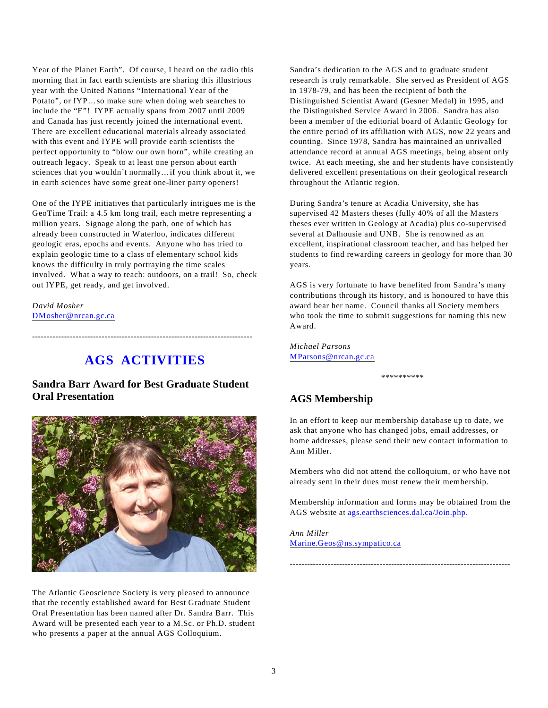Year of the Planet Earth". Of course, I heard on the radio this morning that in fact earth scientists are sharing this illustrious year with the United Nations "International Year of the Potato", or IYP…so make sure when doing web searches to include the "E"! IYPE actually spans from 2007 until 2009 and Canada has just recently joined the international event. There are excellent educational materials already associated with this event and IYPE will provide earth scientists the perfect opportunity to "blow our own horn", while creating an outreach legacy. Speak to at least one person about earth sciences that you wouldn't normally…if you think about it, we in earth sciences have some great one-liner party openers!

One of the IYPE initiatives that particularly intrigues me is the GeoTime Trail: a 4.5 km long trail, each metre representing a million years. Signage along the path, one of which has already been constructed in Waterloo, indicates different geologic eras, epochs and events. Anyone who has tried to explain geologic time to a class of elementary school kids knows the difficulty in truly portraying the time scales involved. What a way to teach: outdoors, on a trail! So, check out IYPE, get ready, and get involved.

*David Mosher* [DMosher@nrcan.gc.ca](mailto:dmosher@nrcan.gc.ca)

## **AGS ACTIVITIES**

----------------------------------------------------------------------------

### **Sandra Barr Award for Best Graduate Student Oral Presentation**



The Atlantic Geoscience Society is very pleased to announce that the recently established award for Best Graduate Student Oral Presentation has been named after Dr. Sandra Barr. This Award will be presented each year to a M.Sc. or Ph.D. student who presents a paper at the annual AGS Colloquium.

Sandra's dedication to the AGS and to graduate student research is truly remarkable. She served as President of AGS in 1978-79, and has been the recipient of both the Distinguished Scientist Award (Gesner Medal) in 1995, and the Distinguished Service Award in 2006. Sandra has also been a member of the editorial board of Atlantic Geology for the entire period of its affiliation with AGS, now 22 years and counting. Since 1978, Sandra has maintained an unrivalled attendance record at annual AGS meetings, being absent only twice. At each meeting, she and her students have consistently delivered excellent presentations on their geological research throughout the Atlantic region.

During Sandra's tenure at Acadia University, she has supervised 42 Masters theses (fully 40% of all the Masters theses ever written in Geology at Acadia) plus co-supervised several at Dalhousie and UNB. She is renowned as an excellent, inspirational classroom teacher, and has helped her students to find rewarding careers in geology for more than 30 years.

AGS is very fortunate to have benefited from Sandra's many contributions through its history, and is honoured to have this award bear her name. Council thanks all Society members who took the time to submit suggestions for naming this new Award.

*Michael Parsons* [MParsons@nrcan.gc.ca](mailto:Mparsons@nrcan.gc.ca)

\*\*\*\*\*\*\*\*\*\*

### **AGS Membership**

In an effort to keep our membership database up to date, we ask that anyone who has changed jobs, email addresses, or home addresses, please send their new contact information to Ann Miller.

Members who did not attend the colloquium, or who have not already sent in their dues must renew their membership.

Membership information and forms may be obtained from the AGS website at ags.earthsciences.dal.ca/Join.php.

----------------------------------------------------------------------------

*Ann Miller* [Marine.Geos@ns.sympatico.ca](mailto:marine.geos@ns.sympatico.ca)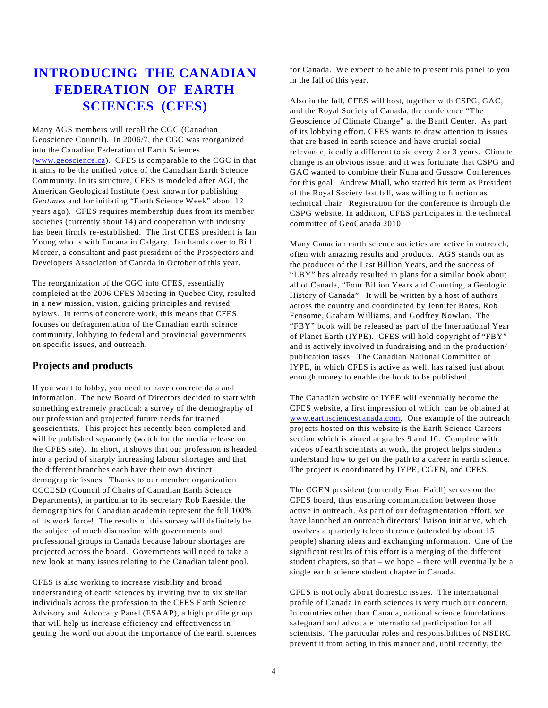## **INTRODUCING THE CANADIAN FEDERATION OF EARTH SCIENCES (CFES)**

Many AGS members will recall the CGC (Canadian Geoscience Council). In 2006/7, the CGC was reorganized into the Canadian Federation of Earth Sciences ([www.geoscience.ca](http://www.geoscience.ca/)). CFES is comparable to the CGC in that it aims to be the unified voice of the Canadian Earth Science Community. In its structure, CFES is modeled after AGI, the American Geological Institute (best known for publishing *Geotimes* and for initiating "Earth Science Week" about 12 years ago). CFES requires membership dues from its member societies (currently about 14) and cooperation with industry has been firmly re-established. The first CFES president is Ian Young who is with Encana in Calgary. Ian hands over to Bill Mercer, a consultant and past president of the Prospectors and Developers Association of Canada in October of this year.

The reorganization of the CGC into CFES, essentially completed at the 2006 CFES Meeting in Quebec City, resulted in a new mission, vision, guiding principles and revised bylaws. In terms of concrete work, this means that CFES focuses on defragmentation of the Canadian earth science community, lobbying to federal and provincial governments on specific issues, and outreach.

#### **Projects and products**

If you want to lobby, you need to have concrete data and information. The new Board of Directors decided to start with something extremely practical: a survey of the demography of our profession and projected future needs for trained geoscientists. This project has recently been completed and will be published separately (watch for the media release on the CFES site). In short, it shows that our profession is headed into a period of sharply increasing labour shortages and that the different branches each have their own distinct demographic issues. Thanks to our member organization CCCESD (Council of Chairs of Canadian Earth Science Departments), in particular to its secretary Rob Raeside, the demographics for Canadian academia represent the full 100% of its work force! The results of this survey will definitely be the subject of much discussion with governments and professional groups in Canada because labour shortages are projected across the board. Governments will need to take a new look at many issues relating to the Canadian talent pool.

CFES is also working to increase visibility and broad understanding of earth sciences by inviting five to six stellar individuals across the profession to the CFES Earth Science Advisory and Advocacy Panel (ESAAP), a high profile group that will help us increase efficiency and effectiveness in getting the word out about the importance of the earth sciences for Canada. We expect to be able to present this panel to you in the fall of this year.

Also in the fall, CFES will host, together with CSPG, GAC, and the Royal Society of Canada, the conference "The Geoscience of Climate Change" at the Banff Center. As part of its lobbying effort, CFES wants to draw attention to issues that are based in earth science and have crucial social relevance, ideally a different topic every 2 or 3 years. Climate change is an obvious issue, and it was fortunate that CSPG and GAC wanted to combine their Nuna and Gussow Conferences for this goal. Andrew Miall, who started his term as President of the Royal Society last fall, was willing to function as technical chair. Registration for the conference is through the CSPG website. In addition, CFES participates in the technical committee of GeoCanada 2010.

Many Canadian earth science societies are active in outreach, often with amazing results and products. AGS stands out as the producer of the Last Billion Years, and the success of "LBY" has already resulted in plans for a similar book about all of Canada, "Four Billion Years and Counting, a Geologic History of Canada". It will be written by a host of authors across the country and coordinated by Jennifer Bates, Rob Fensome, Graham Williams, and Godfrey Nowlan. The "FBY" book will be released as part of the International Year of Planet Earth (IYPE). CFES will hold copyright of "FBY" and is actively involved in fundraising and in the production/ publication tasks. The Canadian National Committee of IYPE, in which CFES is active as well, has raised just about enough money to enable the book to be published.

The Canadian website of IYPE will eventually become the CFES website, a first impression of which can be obtained at [www.earthsciencescanada.com](http://www.earthsciencescanada.com/). One example of the outreach projects hosted on this website is the Earth Science Careers section which is aimed at grades 9 and 10. Complete with videos of earth scientists at work, the project helps students understand how to get on the path to a career in earth science. The project is coordinated by IYPE, CGEN, and CFES.

The CGEN president (currently Fran Haidl) serves on the CFES board, thus ensuring communication between those active in outreach. As part of our defragmentation effort, we have launched an outreach directors' liaison initiative, which involves a quarterly teleconference (attended by about 15 people) sharing ideas and exchanging information. One of the significant results of this effort is a merging of the different student chapters, so that – we hope – there will eventually be a single earth science student chapter in Canada.

CFES is not only about domestic issues. The international profile of Canada in earth sciences is very much our concern. In countries other than Canada, national science foundations safeguard and advocate international participation for all scientists. The particular roles and responsibilities of NSERC prevent it from acting in this manner and, until recently, the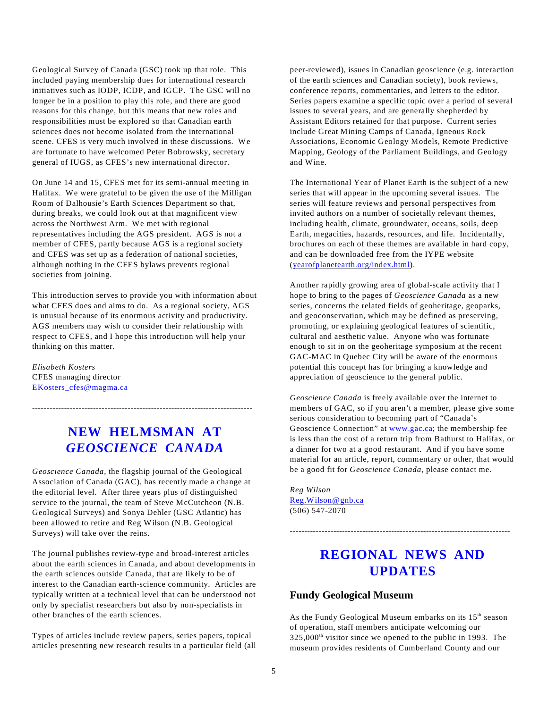Geological Survey of Canada (GSC) took up that role. This included paying membership dues for international research initiatives such as IODP, ICDP, and IGCP. The GSC will no longer be in a position to play this role, and there are good reasons for this change, but this means that new roles and responsibilities must be explored so that Canadian earth sciences does not become isolated from the international scene. CFES is very much involved in these discussions. We are fortunate to have welcomed Peter Bobrowsky, secretary general of IUGS, as CFES's new international director.

On June 14 and 15, CFES met for its semi-annual meeting in Halifax. We were grateful to be given the use of the Milligan Room of Dalhousie's Earth Sciences Department so that, during breaks, we could look out at that magnificent view across the Northwest Arm. We met with regional representatives including the AGS president. AGS is not a member of CFES, partly because AGS is a regional society and CFES was set up as a federation of national societies, although nothing in the CFES bylaws prevents regional societies from joining.

This introduction serves to provide you with information about what CFES does and aims to do. As a regional society, AGS is unusual because of its enormous activity and productivity. AGS members may wish to consider their relationship with respect to CFES, and I hope this introduction will help your thinking on this matter.

*Elisabeth Kosters* CFES managing director [EKosters\\_cfes@magma.ca](mailto:Ekosters_cfes@magma.ca)

## **NEW HELMSMAN AT** *GEOSCIENCE CANADA*

----------------------------------------------------------------------------

*Geoscience Canada,* the flagship journal of the Geological Association of Canada (GAC), has recently made a change at the editorial level. After three years plus of distinguished service to the journal, the team of Steve McCutcheon (N.B. Geological Surveys) and Sonya Dehler (GSC Atlantic) has been allowed to retire and Reg Wilson (N.B. Geological Surveys) will take over the reins.

The journal publishes review-type and broad-interest articles about the earth sciences in Canada, and about developments in the earth sciences outside Canada, that are likely to be of interest to the Canadian earth-science community. Articles are typically written at a technical level that can be understood not only by specialist researchers but also by non-specialists in other branches of the earth sciences.

<span id="page-4-0"></span>Types of articles include review papers, series papers, topical articles presenting new research results in a particular field (all peer-reviewed), issues in Canadian geoscience (e.g. interaction of the earth sciences and Canadian society), book reviews, conference reports, commentaries, and letters to the editor. Series papers examine a specific topic over a period of several issues to several years, and are generally shepherded by Assistant Editors retained for that purpose. Current series include Great Mining Camps of Canada, Igneous Rock Associations, Economic Geology Models, Remote Predictive Mapping, Geology of the Parliament Buildings, and Geology and Wine.

The International Year of Planet Earth is the subject of a new series that will appear in the upcoming several issues. The series will feature reviews and personal perspectives from invited authors on a number of societally relevant themes, including health, climate, groundwater, oceans, soils, deep Earth, megacities, hazards, resources, and life. Incidentally, brochures on each of these themes are available in hard copy, and can be downloaded free from the IYPE website ([yearofplanetearth.org/index.html](#page-4-0)).

Another rapidly growing area of global-scale activity that I hope to bring to the pages of *Geoscience Canada* as a new series, concerns the related fields of geoheritage, geoparks, and geoconservation, which may be defined as preserving, promoting, or explaining geological features of scientific, cultural and aesthetic value. Anyone who was fortunate enough to sit in on the geoheritage symposium at the recent GAC-MAC in Quebec City will be aware of the enormous potential this concept has for bringing a knowledge and appreciation of geoscience to the general public.

*Geoscience Canada* is freely available over the internet to members of GAC, so if you aren't a member, please give some serious consideration to becoming part of "Canada's Geoscience Connection" at [www.gac.ca](#page-4-0); the membership fee is less than the cost of a return trip from Bathurst to Halifax, or a dinner for two at a good restaurant. And if you have some material for an article, report, commentary or other, that would be a good fit for *Geoscience Canada*, please contact me.

*Reg Wilson* [Reg.Wilson@gnb.ca](mailto:Reg.Wilson@gnb.ca) (506) 547-2070

## **REGIONAL NEWS AND UPDATES**

----------------------------------------------------------------------------

#### **Fundy Geological Museum**

As the Fundy Geological Museum embarks on its  $15<sup>th</sup>$  season of operation, staff members anticipate welcoming our  $325,000<sup>th</sup>$  visitor since we opened to the public in 1993. The museum provides residents of Cumberland County and our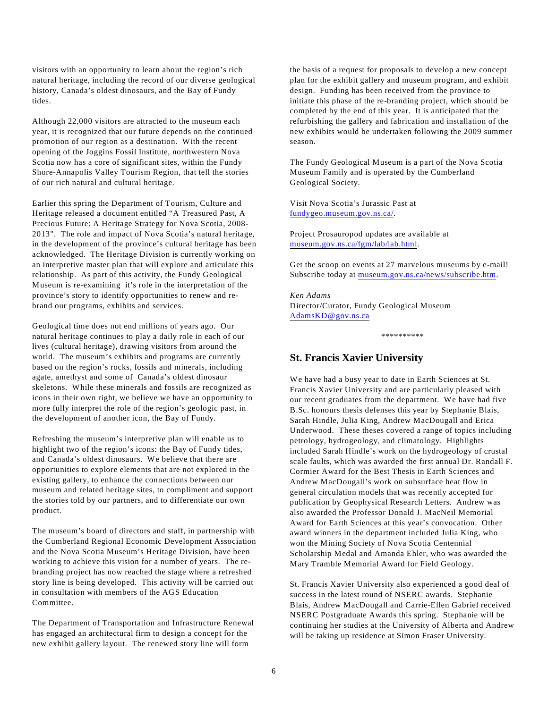visitors with an opportunity to learn about the region's rich natural heritage, including the record of our diverse geological history, Canada's oldest dinosaurs, and the Bay of Fundy tides.

Although 22,000 visitors are attracted to the museum each year, it is recognized that our future depends on the continued promotion of our region as a destination. With the recent opening of the Joggins Fossil Institute, northwestern Nova Scotia now has a core of significant sites, within the Fundy Shore-Annapolis Valley Tourism Region, that tell the stories of our rich natural and cultural heritage.

Earlier this spring the Department of Tourism, Culture and Heritage released a document entitled "A Treasured Past, A Precious Future: A Heritage Strategy for Nova Scotia, 2008- 2013". The role and impact of Nova Scotia's natural heritage, in the development of the province's cultural heritage has been acknowledged. The Heritage Division is currently working on an interpretive master plan that will explore and articulate this relationship. As part of this activity, the Fundy Geological Museum is re-examining it's role in the interpretation of the province's story to identify opportunities to renew and rebrand our programs, exhibits and services.

Geological time does not end millions of years ago. Our natural heritage continues to play a daily role in each of our lives (cultural heritage), drawing visitors from around the world. The museum's exhibits and programs are currently based on the region's rocks, fossils and minerals, including agate, amethyst and some of Canada's oldest dinosaur skeletons. While these minerals and fossils are recognized as icons in their own right, we believe we have an opportunity to more fully interpret the role of the region's geologic past, in the development of another icon, the Bay of Fundy.

Refreshing the museum's interpretive plan will enable us to highlight two of the region's icons: the Bay of Fundy tides, and Canada's oldest dinosaurs. We believe that there are opportunities to explore elements that are not explored in the existing gallery, to enhance the connections between our museum and related heritage sites, to compliment and support the stories told by our partners, and to differentiate our own product.

The museum's board of directors and staff, in partnership with the Cumberland Regional Economic Development Association and the Nova Scotia Museum's Heritage Division, have been working to achieve this vision for a number of years. The rebranding project has now reached the stage where a refreshed story line is being developed. This activity will be carried out in consultation with members of the AGS Education Committee.

The Department of Transportation and Infrastructure Renewal has engaged an architectural firm to design a concept for the new exhibit gallery layout. The renewed story line will form

the basis of a request for proposals to develop a new concept plan for the exhibit gallery and museum program, and exhibit design. Funding has been received from the province to initiate this phase of the re-branding project, which should be completed by the end of this year. It is anticipated that the refurbishing the gallery and fabrication and installation of the new exhibits would be undertaken following the 2009 summer season.

The Fundy Geological Museum is a part of the Nova Scotia Museum Family and is operated by the Cumberland Geological Society.

Visit Nova Scotia's Jurassic Past at [fundygeo.museum.gov.ns.ca/](http://fundygeo.museum.gov.ns.ca/).

Project Prosauropod updates are available at [museum.gov.ns.ca/fgm/lab/lab.html](http://museum.gov.ns.ca/fgm/lab/lab.html).

Get the scoop on events at 27 marvelous museums by e-mail! Subscribe today at [museum.gov.ns.ca/news/subscribe.htm](http://museum.gov.ns.ca/news/subscribe.htm).

*Ken Adams* Director/Curator, Fundy Geological Museum [AdamsKD@gov.ns.ca](mailto:adamskd@gov.ns.ca)

\*\*\*\*\*\*\*\*\*\*

#### **St. Francis Xavier University**

We have had a busy year to date in Earth Sciences at St. Francis Xavier University and are particularly pleased with our recent graduates from the department. We have had five B.Sc. honours thesis defenses this year by Stephanie Blais, Sarah Hindle, Julia King, Andrew MacDougall and Erica Underwood. These theses covered a range of topics including petrology, hydrogeology, and climatology. Highlights included Sarah Hindle's work on the hydrogeology of crustal scale faults, which was awarded the first annual Dr. Randall F. Cormier Award for the Best Thesis in Earth Sciences and Andrew MacDougall's work on subsurface heat flow in general circulation models that was recently accepted for publication by Geophysical Research Letters. Andrew was also awarded the Professor Donald J. MacNeil Memorial Award for Earth Sciences at this year's convocation. Other award winners in the department included Julia King, who won the Mining Society of Nova Scotia Centennial Scholarship Medal and Amanda Ehler, who was awarded the Mary Tramble Memorial Award for Field Geology.

St. Francis Xavier University also experienced a good deal of success in the latest round of NSERC awards. Stephanie Blais, Andrew MacDougall and Carrie-Ellen Gabriel received NSERC Postgraduate Awards this spring. Stephanie will be continuing her studies at the University of Alberta and Andrew will be taking up residence at Simon Fraser University.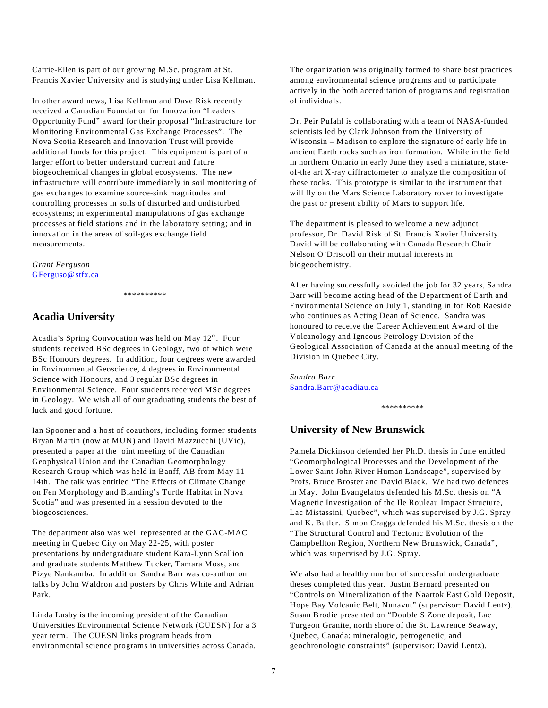Carrie-Ellen is part of our growing M.Sc. program at St. Francis Xavier University and is studying under Lisa Kellman.

In other award news, Lisa Kellman and Dave Risk recently received a Canadian Foundation for Innovation "Leaders Opportunity Fund" award for their proposal "Infrastructure for Monitoring Environmental Gas Exchange Processes". The Nova Scotia Research and Innovation Trust will provide additional funds for this project. This equipment is part of a larger effort to better understand current and future biogeochemical changes in global ecosystems. The new infrastructure will contribute immediately in soil monitoring of gas exchanges to examine source-sink magnitudes and controlling processes in soils of disturbed and undisturbed ecosystems; in experimental manipulations of gas exchange processes at field stations and in the laboratory setting; and in innovation in the areas of soil-gas exchange field measurements.

#### *Grant Ferguson* [GFerguso@stfx.ca](mailto:gferguso@stfx.ca)

\*\*\*\*\*\*\*\*\*\*

### **Acadia University**

Acadia's Spring Convocation was held on May 12<sup>th</sup>. Four students received BSc degrees in Geology, two of which were BSc Honours degrees. In addition, four degrees were awarded in Environmental Geoscience, 4 degrees in Environmental Science with Honours, and 3 regular BSc degrees in Environmental Science. Four students received MSc degrees in Geology. We wish all of our graduating students the best of luck and good fortune.

Ian Spooner and a host of coauthors, including former students Bryan Martin (now at MUN) and David Mazzucchi (UVic), presented a paper at the joint meeting of the Canadian Geophysical Union and the Canadian Geomorphology Research Group which was held in Banff, AB from May 11- 14th. The talk was entitled "The Effects of Climate Change on Fen Morphology and Blanding's Turtle Habitat in Nova Scotia" and was presented in a session devoted to the biogeosciences.

The department also was well represented at the GAC-MAC meeting in Quebec City on May 22-25, with poster presentations by undergraduate student Kara-Lynn Scallion and graduate students Matthew Tucker, Tamara Moss, and Pizye Nankamba. In addition Sandra Barr was co-author on talks by John Waldron and posters by Chris White and Adrian Park.

Linda Lusby is the incoming president of the Canadian Universities Environmental Science Network (CUESN) for a 3 year term. The CUESN links program heads from environmental science programs in universities across Canada.

The organization was originally formed to share best practices among environmental science programs and to participate actively in the both accreditation of programs and registration of individuals.

Dr. Peir Pufahl is collaborating with a team of NASA-funded scientists led by Clark Johnson from the University of Wisconsin – Madison to explore the signature of early life in ancient Earth rocks such as iron formation. While in the field in northern Ontario in early June they used a miniature, stateof-the art X-ray diffractometer to analyze the composition of these rocks. This prototype is similar to the instrument that will fly on the Mars Science Laboratory rover to investigate the past or present ability of Mars to support life.

The department is pleased to welcome a new adjunct professor, Dr. David Risk of St. Francis Xavier University. David will be collaborating with Canada Research Chair Nelson O'Driscoll on their mutual interests in biogeochemistry.

After having successfully avoided the job for 32 years, Sandra Barr will become acting head of the Department of Earth and Environmental Science on July 1, standing in for Rob Raeside who continues as Acting Dean of Science. Sandra was honoured to receive the Career Achievement Award of the Volcanology and Igneous Petrology Division of the Geological Association of Canada at the annual meeting of the Division in Quebec City.

*Sandra Barr* [Sandra.Barr@acadiau.ca](mailto:Sandra.Barr@acadiau.ca)

\*\*\*\*\*\*\*\*\*\*

#### **University of New Brunswick**

Pamela Dickinson defended her Ph.D. thesis in June entitled "Geomorphological Processes and the Development of the Lower Saint John River Human Landscape", supervised by Profs. Bruce Broster and David Black. We had two defences in May. John Evangelatos defended his M.Sc. thesis on "A Magnetic Investigation of the Ile Rouleau Impact Structure, Lac Mistassini, Quebec", which was supervised by J.G. Spray and K. Butler. Simon Craggs defended his M.Sc. thesis on the "The Structural Control and Tectonic Evolution of the Campbellton Region, Northern New Brunswick, Canada", which was supervised by J.G. Spray.

We also had a healthy number of successful undergraduate theses completed this year. Justin Bernard presented on "Controls on Mineralization of the Naartok East Gold Deposit, Hope Bay Volcanic Belt, Nunavut" (supervisor: David Lentz). Susan Brodie presented on "Double S Zone deposit, Lac Turgeon Granite, north shore of the St. Lawrence Seaway, Quebec, Canada: mineralogic, petrogenetic, and geochronologic constraints" (supervisor: David Lentz).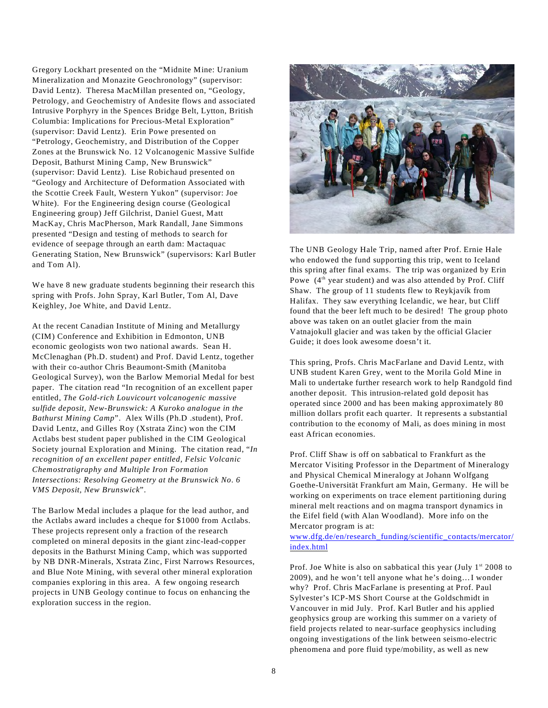Gregory Lockhart presented on the "Midnite Mine: Uranium Mineralization and Monazite Geochronology" (supervisor: David Lentz). Theresa MacMillan presented on, "Geology, Petrology, and Geochemistry of Andesite flows and associated Intrusive Porphyry in the Spences Bridge Belt, Lytton, British Columbia: Implications for Precious-Metal Exploration" (supervisor: David Lentz). Erin Powe presented on "Petrology, Geochemistry, and Distribution of the Copper Zones at the Brunswick No. 12 Volcanogenic Massive Sulfide Deposit, Bathurst Mining Camp, New Brunswick" (supervisor: David Lentz). Lise Robichaud presented on "Geology and Architecture of Deformation Associated with the Scottie Creek Fault, Western Yukon" (supervisor: Joe White). For the Engineering design course (Geological Engineering group) Jeff Gilchrist, Daniel Guest, Matt MacKay, Chris MacPherson, Mark Randall, Jane Simmons presented "Design and testing of methods to search for evidence of seepage through an earth dam: Mactaquac Generating Station, New Brunswick" (supervisors: Karl Butler and Tom Al).

We have 8 new graduate students beginning their research this spring with Profs. John Spray, Karl Butler, Tom Al, Dave Keighley, Joe White, and David Lentz.

At the recent Canadian Institute of Mining and Metallurgy (CIM) Conference and Exhibition in Edmonton, UNB economic geologists won two national awards. Sean H. McClenaghan (Ph.D. student) and Prof. David Lentz, together with their co-author Chris Beaumont-Smith (Manitoba Geological Survey), won the Barlow Memorial Medal for best paper. The citation read "In recognition of an excellent paper entitled, *The Gold-rich Louvicourt volcanogenic massive sulfide deposit, New-Brunswick: A Kuroko analogue in the Bathurst Mining Camp*". Alex Wills (Ph.D .student), Prof. David Lentz, and Gilles Roy (Xstrata Zinc) won the CIM Actlabs best student paper published in the CIM Geological Society journal Exploration and Mining. The citation read, "*In recognition of an excellent paper entitled, Felsic Volcanic Chemostratigraphy and Multiple Iron Formation Intersections: Resolving Geometry at the Brunswick No. 6 VMS Deposit, New Brunswick*".

The Barlow Medal includes a plaque for the lead author, and the Actlabs award includes a cheque for \$1000 from Actlabs. These projects represent only a fraction of the research completed on mineral deposits in the giant zinc-lead-copper deposits in the Bathurst Mining Camp, which was supported by NB DNR-Minerals, Xstrata Zinc, First Narrows Resources, and Blue Note Mining, with several other mineral exploration companies exploring in this area. A few ongoing research projects in UNB Geology continue to focus on enhancing the exploration success in the region.



The UNB Geology Hale Trip, named after Prof. Ernie Hale who endowed the fund supporting this trip, went to Iceland this spring after final exams. The trip was organized by Erin Powe  $(4<sup>th</sup>$  year student) and was also attended by Prof. Cliff Shaw. The group of 11 students flew to Reykjavík from Halifax. They saw everything Icelandic, we hear, but Cliff found that the beer left much to be desired! The group photo above was taken on an outlet glacier from the main Vatnajokull glacier and was taken by the official Glacier Guide; it does look awesome doesn't it.

This spring, Profs. Chris MacFarlane and David Lentz, with UNB student Karen Grey, went to the Morila Gold Mine in Mali to undertake further research work to help Randgold find another deposit. This intrusion-related gold deposit has operated since 2000 and has been making approximately 80 million dollars profit each quarter. It represents a substantial contribution to the economy of Mali, as does mining in most east African economies.

Prof. Cliff Shaw is off on sabbatical to Frankfurt as the Mercator Visiting Professor in the Department of Mineralogy and Physical Chemical Mineralogy at Johann Wolfgang Goethe-Universität Frankfurt am Main, Germany. He will be working on experiments on trace element partitioning during mineral melt reactions and on magma transport dynamics in the Eifel field (with Alan Woodland). More info on the Mercator program is at:

[www.dfg.de/en/research\\_funding/scientific\\_contacts/mercator/](http://www.dfg.de/en/research_funding/scientific_contacts/mercator/index.html) [index.html](http://www.dfg.de/en/research_funding/scientific_contacts/mercator/index.html)

Prof. Joe White is also on sabbatical this year (July  $1^{st}$  2008 to 2009), and he won't tell anyone what he's doing…I wonder why? Prof. Chris MacFarlane is presenting at Prof. Paul Sylvester's ICP-MS Short Course at the Goldschmidt in Vancouver in mid July. Prof. Karl Butler and his applied geophysics group are working this summer on a variety of field projects related to near-surface geophysics including ongoing investigations of the link between seismo-electric phenomena and pore fluid type/mobility, as well as new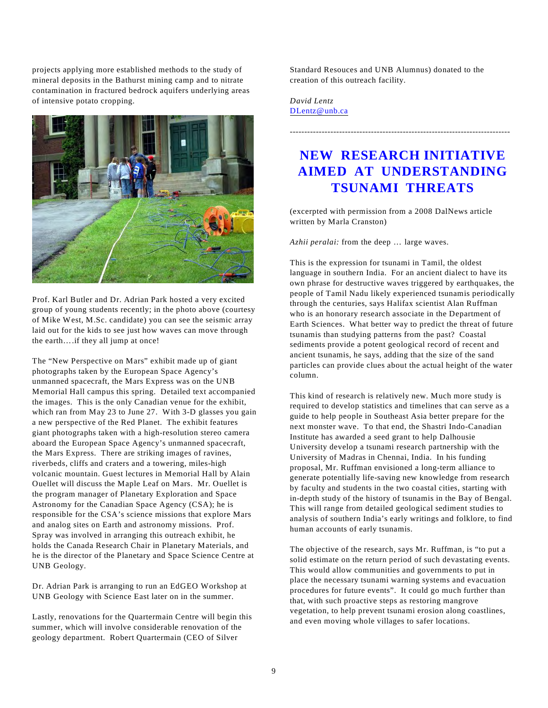projects applying more established methods to the study of mineral deposits in the Bathurst mining camp and to nitrate contamination in fractured bedrock aquifers underlying areas of intensive potato cropping.



Prof. Karl Butler and Dr. Adrian Park hosted a very excited group of young students recently; in the photo above (courtesy of Mike West, M.Sc. candidate) you can see the seismic array laid out for the kids to see just how waves can move through the earth….if they all jump at once!

The "New Perspective on Mars" exhibit made up of giant photographs taken by the European Space Agency's unmanned spacecraft, the Mars Express was on the UNB Memorial Hall campus this spring. Detailed text accompanied the images. This is the only Canadian venue for the exhibit, which ran from May 23 to June 27. With 3-D glasses you gain a new perspective of the Red Planet. The exhibit features giant photographs taken with a high-resolution stereo camera aboard the European Space Agency's unmanned spacecraft, the Mars Express. There are striking images of ravines, riverbeds, cliffs and craters and a towering, miles-high volcanic mountain. Guest lectures in Memorial Hall by Alain Ouellet will discuss the Maple Leaf on Mars. Mr. Ouellet is the program manager of Planetary Exploration and Space Astronomy for the Canadian Space Agency (CSA); he is responsible for the CSA's science missions that explore Mars and analog sites on Earth and astronomy missions. Prof. Spray was involved in arranging this outreach exhibit, he holds the Canada Research Chair in Planetary Materials, and he is the director of the Planetary and Space Science Centre at UNB Geology.

Dr. Adrian Park is arranging to run an EdGEO Workshop at UNB Geology with Science East later on in the summer.

Lastly, renovations for the Quartermain Centre will begin this summer, which will involve considerable renovation of the geology department. Robert Quartermain (CEO of Silver

Standard Resouces and UNB Alumnus) donated to the creation of this outreach facility.

*David Lentz* [DLentz@unb.ca](mailto:Dlentz@unb.ca)

## **NEW RESEARCH INITIATIVE AIMED AT UNDERSTANDING TSUNAMI THREATS**

----------------------------------------------------------------------------

(excerpted with permission from a 2008 DalNews article written by Marla Cranston)

*Azhii peralai:* from the deep … large waves.

This is the expression for tsunami in Tamil, the oldest language in southern India. For an ancient dialect to have its own phrase for destructive waves triggered by earthquakes, the people of Tamil Nadu likely experienced tsunamis periodically through the centuries, says Halifax scientist Alan Ruffman who is an honorary research associate in the Department of Earth Sciences. What better way to predict the threat of future tsunamis than studying patterns from the past? Coastal sediments provide a potent geological record of recent and ancient tsunamis, he says, adding that the size of the sand particles can provide clues about the actual height of the water column.

This kind of research is relatively new. Much more study is required to develop statistics and timelines that can serve as a guide to help people in Southeast Asia better prepare for the next monster wave. To that end, the Shastri Indo-Canadian Institute has awarded a seed grant to help Dalhousie University develop a tsunami research partnership with the University of Madras in Chennai, India. In his funding proposal, Mr. Ruffman envisioned a long-term alliance to generate potentially life-saving new knowledge from research by faculty and students in the two coastal cities, starting with in-depth study of the history of tsunamis in the Bay of Bengal. This will range from detailed geological sediment studies to analysis of southern India's early writings and folklore, to find human accounts of early tsunamis.

The objective of the research, says Mr. Ruffman, is "to put a solid estimate on the return period of such devastating events. This would allow communities and governments to put in place the necessary tsunami warning systems and evacuation procedures for future events". It could go much further than that, with such proactive steps as restoring mangrove vegetation, to help prevent tsunami erosion along coastlines, and even moving whole villages to safer locations.